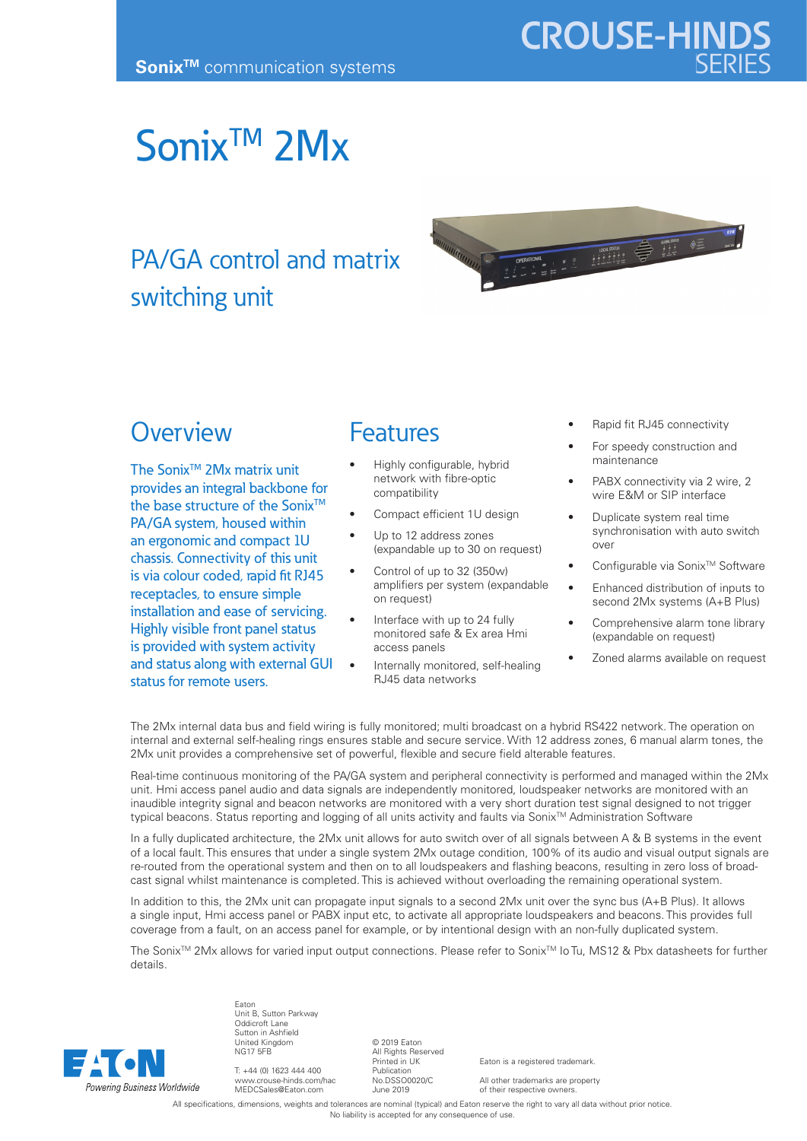# Sonix<sup>™</sup> 2Mx

## PA/GA control and matrix switching unit



## **Overview**

The Sonix<sup>™</sup> 2Mx matrix unit provides an integral backbone for the base structure of the Sonix<sup>™</sup> PA/GA system, housed within an ergonomic and compact 1U chassis. Connectivity of this unit is via colour coded, rapid fit RJ45 receptacles, to ensure simple installation and ease of servicing. Highly visible front panel status is provided with system activity and status along with external GUI status for remote users.

### **Features**

- Highly configurable, hybrid network with fibre-optic compatibility
- Compact efficient 1U design
- Up to 12 address zones (expandable up to 30 on request)
- Control of up to 32 (350w) amplifiers per system (expandable on request)
- Interface with up to 24 fully monitored safe & Ex area Hmi access panels
- Internally monitored, self-healing RJ45 data networks
- Rapid fit RJ45 connectivity
- For speedy construction and maintenance
- PABX connectivity via 2 wire, 2 wire E&M or SIP interface
- Duplicate system real time synchronisation with auto switch over
- Configurable via Sonix™ Software
- Enhanced distribution of inputs to second 2Mx systems (A+B Plus)
- Comprehensive alarm tone library (expandable on request)
- Zoned alarms available on request

The 2Mx internal data bus and field wiring is fully monitored; multi broadcast on a hybrid RS422 network. The operation on internal and external self-healing rings ensures stable and secure service. With 12 address zones, 6 manual alarm tones, the 2Mx unit provides a comprehensive set of powerful, flexible and secure field alterable features.

Real-time continuous monitoring of the PA/GA system and peripheral connectivity is performed and managed within the 2Mx unit. Hmi access panel audio and data signals are independently monitored, loudspeaker networks are monitored with an inaudible integrity signal and beacon networks are monitored with a very short duration test signal designed to not trigger typical beacons. Status reporting and logging of all units activity and faults via Sonix™ Administration Software

In a fully duplicated architecture, the 2Mx unit allows for auto switch over of all signals between A & B systems in the event of a local fault. This ensures that under a single system 2Mx outage condition, 100% of its audio and visual output signals are re-routed from the operational system and then on to all loudspeakers and flashing beacons, resulting in zero loss of broadcast signal whilst maintenance is completed. This is achieved without overloading the remaining operational system.

In addition to this, the 2Mx unit can propagate input signals to a second 2Mx unit over the sync bus (A+B Plus). It allows a single input, Hmi access panel or PABX input etc, to activate all appropriate loudspeakers and beacons. This provides full coverage from a fault, on an access panel for example, or by intentional design with an non-fully duplicated system.

The Sonix<sup>™</sup> 2Mx allows for varied input output connections. Please refer to Sonix™ Io Tu, MS12 & Pbx datasheets for further details.



Unit B, Sutton Parkway Oddicroft Lane Sutton in Ashfield United Kingdom NG17 5FB

Eaton

T: +44 (0) 1623 444 400 www.crouse-hinds.com/hac MEDCSales@Eaton.com

© 2019 Eaton All Rights Reserved Printed in UK Publication No.DSSO0020/C June 2019

Eaton is a registered trademark.

All other trademarks are property of their respective owners.

All specifications, dimensions, weights and tolerances are nominal (typical) and Eaton reserve the right to vary all data without prior notice. No liability is accepted for any consequence of use.